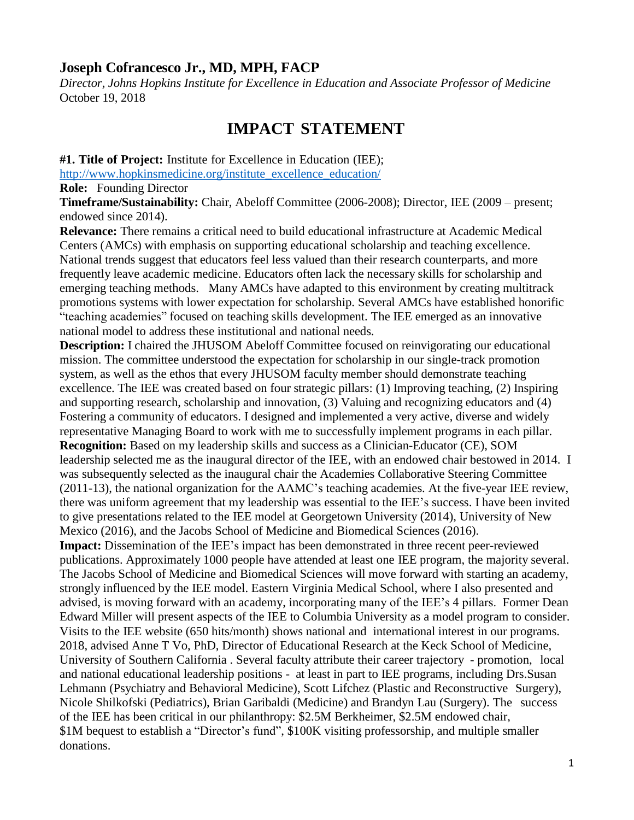## **Joseph Cofrancesco Jr., MD, MPH, FACP**

*Director, Johns Hopkins Institute for Excellence in Education and Associate Professor of Medicine* October 19, 2018

## **IMPACT STATEMENT**

**#1. Title of Project:** Institute for Excellence in Education (IEE);

[http://www.hopkinsmedicine.org/institute\\_excellence\\_education/](http://www.hopkinsmedicine.org/institute_excellence_education/)

**Role:** Founding Director

**Timeframe/Sustainability:** Chair, Abeloff Committee (2006-2008); Director, IEE (2009 – present; endowed since 2014).

**Relevance:** There remains a critical need to build educational infrastructure at Academic Medical Centers (AMCs) with emphasis on supporting educational scholarship and teaching excellence. National trends suggest that educators feel less valued than their research counterparts, and more frequently leave academic medicine. Educators often lack the necessary skills for scholarship and emerging teaching methods. Many AMCs have adapted to this environment by creating multitrack promotions systems with lower expectation for scholarship. Several AMCs have established honorific "teaching academies" focused on teaching skills development. The IEE emerged as an innovative national model to address these institutional and national needs.

**Description:** I chaired the JHUSOM Abeloff Committee focused on reinvigorating our educational mission. The committee understood the expectation for scholarship in our single-track promotion system, as well as the ethos that every JHUSOM faculty member should demonstrate teaching excellence. The IEE was created based on four strategic pillars: (1) Improving teaching, (2) Inspiring and supporting research, scholarship and innovation, (3) Valuing and recognizing educators and (4) Fostering a community of educators. I designed and implemented a very active, diverse and widely representative Managing Board to work with me to successfully implement programs in each pillar. **Recognition:** Based on my leadership skills and success as a Clinician-Educator (CE), SOM leadership selected me as the inaugural director of the IEE, with an endowed chair bestowed in 2014. I was subsequently selected as the inaugural chair the Academies Collaborative Steering Committee (2011-13), the national organization for the AAMC's teaching academies. At the five-year IEE review, there was uniform agreement that my leadership was essential to the IEE's success. I have been invited to give presentations related to the IEE model at Georgetown University (2014), University of New Mexico (2016), and the Jacobs School of Medicine and Biomedical Sciences (2016). **Impact:** Dissemination of the IEE's impact has been demonstrated in three recent peer-reviewed

publications. Approximately 1000 people have attended at least one IEE program, the majority several. The Jacobs School of Medicine and Biomedical Sciences will move forward with starting an academy, strongly influenced by the IEE model. Eastern Virginia Medical School, where I also presented and advised, is moving forward with an academy, incorporating many of the IEE's 4 pillars. Former Dean Edward Miller will present aspects of the IEE to Columbia University as a model program to consider. Visits to the IEE website (650 hits/month) shows national and international interest in our programs. 2018, advised Anne T Vo, PhD, Director of Educational Research at the Keck School of Medicine, University of Southern California . Several faculty attribute their career trajectory - promotion, local and national educational leadership positions - at least in part to IEE programs, including Drs.Susan Lehmann (Psychiatry and Behavioral Medicine), Scott Lifchez (Plastic and Reconstructive Surgery), Nicole Shilkofski (Pediatrics), Brian Garibaldi (Medicine) and Brandyn Lau (Surgery). The success of the IEE has been critical in our philanthropy: \$2.5M Berkheimer, \$2.5M endowed chair, \$1M bequest to establish a "Director's fund", \$100K visiting professorship, and multiple smaller donations.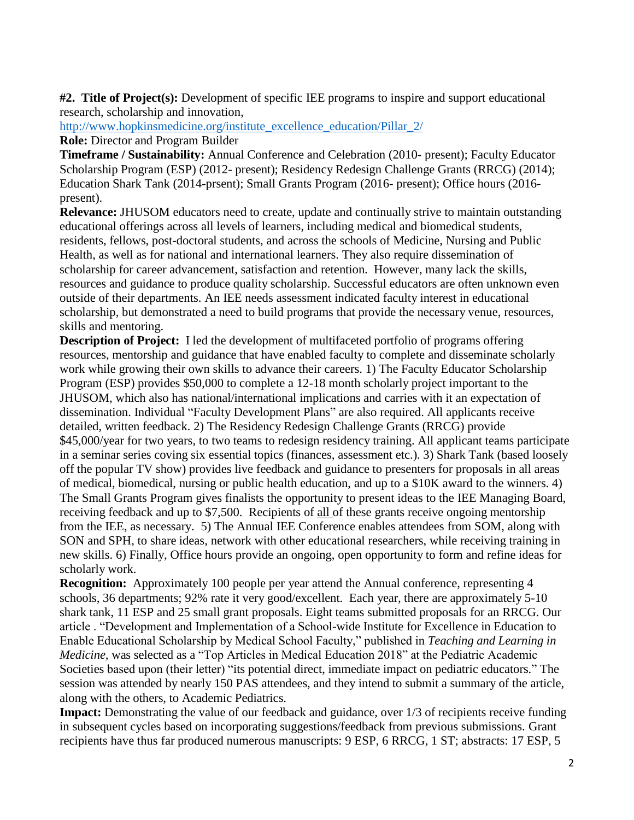**#2. Title of Project(s):** Development of specific IEE programs to inspire and support educational research, scholarship and innovation,

[http://www.hopkinsmedicine.org/institute\\_excellence\\_education/Pillar\\_2/](http://www.hopkinsmedicine.org/institute_excellence_education/Pillar_2/)

**Role:** Director and Program Builder

**Timeframe / Sustainability:** Annual Conference and Celebration (2010- present); Faculty Educator Scholarship Program (ESP) (2012- present); Residency Redesign Challenge Grants (RRCG) (2014); Education Shark Tank (2014-prsent); Small Grants Program (2016- present); Office hours (2016 present).

**Relevance:** JHUSOM educators need to create, update and continually strive to maintain outstanding educational offerings across all levels of learners, including medical and biomedical students, residents, fellows, post-doctoral students, and across the schools of Medicine, Nursing and Public Health, as well as for national and international learners. They also require dissemination of scholarship for career advancement, satisfaction and retention. However, many lack the skills, resources and guidance to produce quality scholarship. Successful educators are often unknown even outside of their departments. An IEE needs assessment indicated faculty interest in educational scholarship, but demonstrated a need to build programs that provide the necessary venue, resources, skills and mentoring.

**Description of Project:** I led the development of multifaceted portfolio of programs offering resources, mentorship and guidance that have enabled faculty to complete and disseminate scholarly work while growing their own skills to advance their careers. 1) The Faculty Educator Scholarship Program (ESP) provides \$50,000 to complete a 12-18 month scholarly project important to the JHUSOM, which also has national/international implications and carries with it an expectation of dissemination. Individual "Faculty Development Plans" are also required. All applicants receive detailed, written feedback. 2) The Residency Redesign Challenge Grants (RRCG) provide \$45,000/year for two years, to two teams to redesign residency training. All applicant teams participate in a seminar series coving six essential topics (finances, assessment etc.). 3) Shark Tank (based loosely off the popular TV show) provides live feedback and guidance to presenters for proposals in all areas of medical, biomedical, nursing or public health education, and up to a \$10K award to the winners. 4) The Small Grants Program gives finalists the opportunity to present ideas to the IEE Managing Board, receiving feedback and up to \$7,500. Recipients of all of these grants receive ongoing mentorship from the IEE, as necessary. 5) The Annual IEE Conference enables attendees from SOM, along with SON and SPH, to share ideas, network with other educational researchers, while receiving training in new skills. 6) Finally, Office hours provide an ongoing, open opportunity to form and refine ideas for scholarly work.

**Recognition:** Approximately 100 people per year attend the Annual conference, representing 4 schools, 36 departments; 92% rate it very good/excellent. Each year, there are approximately 5-10 shark tank, 11 ESP and 25 small grant proposals. Eight teams submitted proposals for an RRCG. Our article . "Development and Implementation of a School-wide Institute for Excellence in Education to Enable Educational Scholarship by Medical School Faculty," published in *Teaching and Learning in Medicine,* was selected as a "Top Articles in Medical Education 2018" at the Pediatric Academic Societies based upon (their letter) "its potential direct, immediate impact on pediatric educators." The session was attended by nearly 150 PAS attendees, and they intend to submit a summary of the article, along with the others, to Academic Pediatrics.

**Impact:** Demonstrating the value of our feedback and guidance, over 1/3 of recipients receive funding in subsequent cycles based on incorporating suggestions/feedback from previous submissions. Grant recipients have thus far produced numerous manuscripts: 9 ESP, 6 RRCG, 1 ST; abstracts: 17 ESP, 5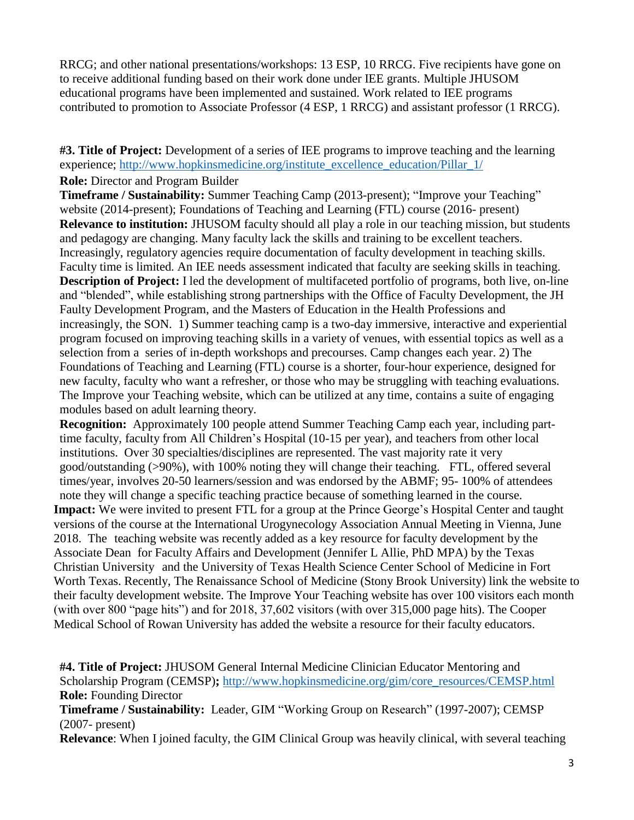RRCG; and other national presentations/workshops: 13 ESP, 10 RRCG. Five recipients have gone on to receive additional funding based on their work done under IEE grants. Multiple JHUSOM educational programs have been implemented and sustained. Work related to IEE programs contributed to promotion to Associate Professor (4 ESP, 1 RRCG) and assistant professor (1 RRCG).

**#3. Title of Project:** Development of a series of IEE programs to improve teaching and the learning experience; [http://www.hopkinsmedicine.org/institute\\_excellence\\_education/Pillar\\_1/](http://www.hopkinsmedicine.org/institute_excellence_education/Pillar_1/)

**Role:** Director and Program Builder

**Timeframe / Sustainability:** Summer Teaching Camp (2013-present); "Improve your Teaching" website (2014-present); Foundations of Teaching and Learning (FTL) course (2016- present) **Relevance to institution:** JHUSOM faculty should all play a role in our teaching mission, but students and pedagogy are changing. Many faculty lack the skills and training to be excellent teachers. Increasingly, regulatory agencies require documentation of faculty development in teaching skills. Faculty time is limited. An IEE needs assessment indicated that faculty are seeking skills in teaching. **Description of Project:** I led the development of multifaceted portfolio of programs, both live, on-line and "blended", while establishing strong partnerships with the Office of Faculty Development, the JH Faulty Development Program, and the Masters of Education in the Health Professions and increasingly, the SON. 1) Summer teaching camp is a two-day immersive, interactive and experiential program focused on improving teaching skills in a variety of venues, with essential topics as well as a selection from a series of in-depth workshops and precourses. Camp changes each year. 2) The Foundations of Teaching and Learning (FTL) course is a shorter, four-hour experience, designed for new faculty, faculty who want a refresher, or those who may be struggling with teaching evaluations. The Improve your Teaching website, which can be utilized at any time, contains a suite of engaging modules based on adult learning theory.

**Recognition:** Approximately 100 people attend Summer Teaching Camp each year, including parttime faculty, faculty from All Children's Hospital (10-15 per year), and teachers from other local institutions. Over 30 specialties/disciplines are represented. The vast majority rate it very good/outstanding (>90%), with 100% noting they will change their teaching. FTL, offered several times/year, involves 20-50 learners/session and was endorsed by the ABMF; 95- 100% of attendees note they will change a specific teaching practice because of something learned in the course.

**Impact:** We were invited to present FTL for a group at the Prince George's Hospital Center and taught versions of the course at the International Urogynecology Association Annual Meeting in Vienna, June 2018. The teaching website was recently added as a key resource for faculty development by the Associate Dean for Faculty Affairs and Development (Jennifer L Allie, PhD MPA) by the Texas Christian University and the University of Texas Health Science Center School of Medicine in Fort Worth Texas. Recently, The Renaissance School of Medicine (Stony Brook University) link the website to their faculty development website. The Improve Your Teaching website has over 100 visitors each month (with over 800 "page hits") and for 2018, 37,602 visitors (with over 315,000 page hits). The Cooper Medical School of Rowan University has added the website a resource for their faculty educators.

**#4. Title of Project:** JHUSOM General Internal Medicine Clinician Educator Mentoring and Scholarship Program (CEMSP)**;** [http://www.hopkinsmedicine.org/gim/core\\_resources/CEMSP.html](http://www.hopkinsmedicine.org/gim/core_resources/CEMSP.html) **Role:** Founding Director

**Timeframe / Sustainability:** Leader, GIM "Working Group on Research" (1997-2007); CEMSP (2007- present)

**Relevance**: When I joined faculty, the GIM Clinical Group was heavily clinical, with several teaching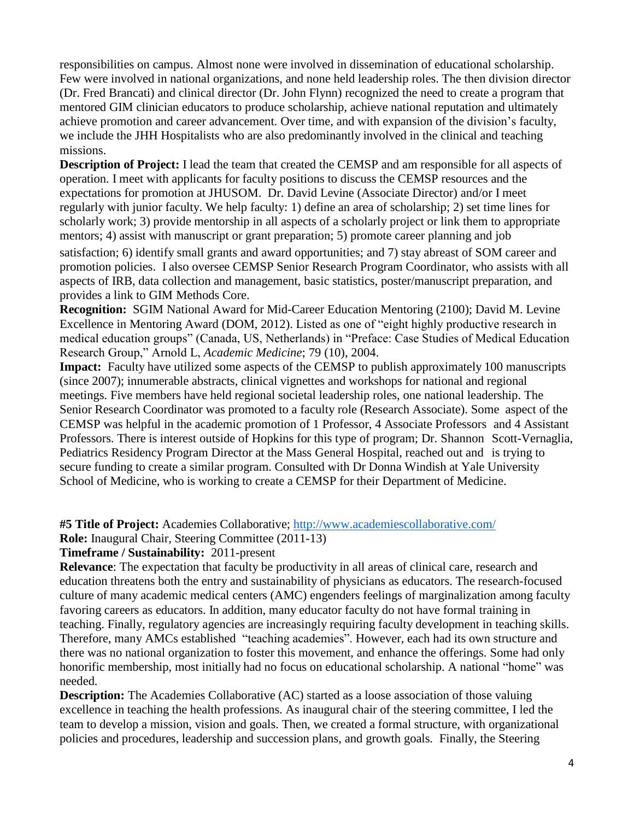responsibilities on campus. Almost none were involved in dissemination of educational scholarship. Few were involved in national organizations, and none held leadership roles. The then division director (Dr. Fred Brancati) and clinical director (Dr. John Flynn) recognized the need to create a program that mentored GIM clinician educators to produce scholarship, achieve national reputation and ultimately achieve promotion and career advancement. Over time, and with expansion of the division's faculty, we include the JHH Hospitalists who are also predominantly involved in the clinical and teaching missions.

**Description of Project:** I lead the team that created the CEMSP and am responsible for all aspects of operation. I meet with applicants for faculty positions to discuss the CEMSP resources and the expectations for promotion at JHUSOM. Dr. David Levine (Associate Director) and/or I meet regularly with junior faculty. We help faculty: 1) define an area of scholarship; 2) set time lines for scholarly work; 3) provide mentorship in all aspects of a scholarly project or link them to appropriate mentors; 4) assist with manuscript or grant preparation; 5) promote career planning and job satisfaction; 6) identify small grants and award opportunities; and 7) stay abreast of SOM career and promotion policies. I also oversee CEMSP Senior Research Program Coordinator, who assists with all aspects of IRB, data collection and management, basic statistics, poster/manuscript preparation, and provides a link to GIM Methods Core.

**Recognition:** SGIM National Award for Mid-Career Education Mentoring (2100); David M. Levine Excellence in Mentoring Award (DOM, 2012). Listed as one of "eight highly productive research in medical education groups" (Canada, US, Netherlands) in "Preface: Case Studies of Medical Education Research Group," Arnold L, *Academic Medicine*; 79 (10), 2004.

**Impact:** Faculty have utilized some aspects of the CEMSP to publish approximately 100 manuscripts (since 2007); innumerable abstracts, clinical vignettes and workshops for national and regional meetings. Five members have held regional societal leadership roles, one national leadership. The Senior Research Coordinator was promoted to a faculty role (Research Associate). Some aspect of the CEMSP was helpful in the academic promotion of 1 Professor, 4 Associate Professors and 4 Assistant Professors. There is interest outside of Hopkins for this type of program; Dr. Shannon Scott-Vernaglia, Pediatrics Residency Program Director at the Mass General Hospital, reached out and is trying to secure funding to create a similar program. Consulted with Dr Donna Windish at Yale University School of Medicine, who is working to create a CEMSP for their Department of Medicine.

**#5 Title of Project:** Academies Collaborative; <http://www.academiescollaborative.com/>

**Role:** Inaugural Chair, Steering Committee (2011-13)

**Timeframe / Sustainability:** 2011-present

**Relevance**: The expectation that faculty be productivity in all areas of clinical care, research and education threatens both the entry and sustainability of physicians as educators. The research-focused culture of many academic medical centers (AMC) engenders feelings of marginalization among faculty favoring careers as educators. In addition, many educator faculty do not have formal training in teaching. Finally, regulatory agencies are increasingly requiring faculty development in teaching skills. Therefore, many AMCs established "teaching academies". However, each had its own structure and there was no national organization to foster this movement, and enhance the offerings. Some had only honorific membership, most initially had no focus on educational scholarship. A national "home" was needed.

**Description:** The Academies Collaborative (AC) started as a loose association of those valuing excellence in teaching the health professions. As inaugural chair of the steering committee, I led the team to develop a mission, vision and goals. Then, we created a formal structure, with organizational policies and procedures, leadership and succession plans, and growth goals. Finally, the Steering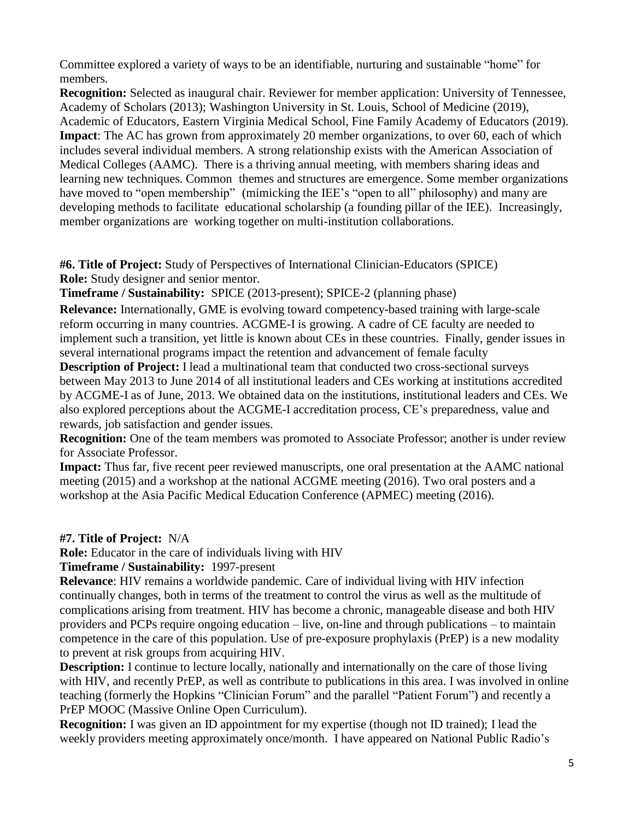Committee explored a variety of ways to be an identifiable, nurturing and sustainable "home" for members.

**Recognition:** Selected as inaugural chair. Reviewer for member application: University of Tennessee, Academy of Scholars (2013); Washington University in St. Louis, School of Medicine (2019), Academic of Educators, Eastern Virginia Medical School, Fine Family Academy of Educators (2019). **Impact**: The AC has grown from approximately 20 member organizations, to over 60, each of which includes several individual members. A strong relationship exists with the American Association of Medical Colleges (AAMC). There is a thriving annual meeting, with members sharing ideas and learning new techniques. Common themes and structures are emergence. Some member organizations have moved to "open membership" (mimicking the IEE's "open to all" philosophy) and many are developing methods to facilitate educational scholarship (a founding pillar of the IEE). Increasingly, member organizations are working together on multi-institution collaborations.

**#6. Title of Project:** Study of Perspectives of International Clinician-Educators (SPICE) **Role:** Study designer and senior mentor.

**Timeframe / Sustainability:** SPICE (2013-present); SPICE-2 (planning phase)

**Relevance:** Internationally, GME is evolving toward competency-based training with large-scale reform occurring in many countries. ACGME-I is growing. A cadre of CE faculty are needed to implement such a transition, yet little is known about CEs in these countries. Finally, gender issues in several international programs impact the retention and advancement of female faculty

**Description of Project:** I lead a multinational team that conducted two cross-sectional surveys between May 2013 to June 2014 of all institutional leaders and CEs working at institutions accredited by ACGME-I as of June, 2013. We obtained data on the institutions, institutional leaders and CEs. We also explored perceptions about the ACGME-I accreditation process, CE's preparedness, value and rewards, job satisfaction and gender issues.

**Recognition:** One of the team members was promoted to Associate Professor; another is under review for Associate Professor.

**Impact:** Thus far, five recent peer reviewed manuscripts, one oral presentation at the AAMC national meeting (2015) and a workshop at the national ACGME meeting (2016). Two oral posters and a workshop at the Asia Pacific Medical Education Conference (APMEC) meeting (2016).

**#7. Title of Project:** N/A

**Role:** Educator in the care of individuals living with HIV

**Timeframe / Sustainability:** 1997-present

**Relevance**: HIV remains a worldwide pandemic. Care of individual living with HIV infection continually changes, both in terms of the treatment to control the virus as well as the multitude of complications arising from treatment. HIV has become a chronic, manageable disease and both HIV providers and PCPs require ongoing education – live, on-line and through publications – to maintain competence in the care of this population. Use of pre-exposure prophylaxis (PrEP) is a new modality to prevent at risk groups from acquiring HIV.

**Description:** I continue to lecture locally, nationally and internationally on the care of those living with HIV, and recently PrEP, as well as contribute to publications in this area. I was involved in online teaching (formerly the Hopkins "Clinician Forum" and the parallel "Patient Forum") and recently a PrEP MOOC (Massive Online Open Curriculum).

**Recognition:** I was given an ID appointment for my expertise (though not ID trained); I lead the weekly providers meeting approximately once/month. I have appeared on National Public Radio's